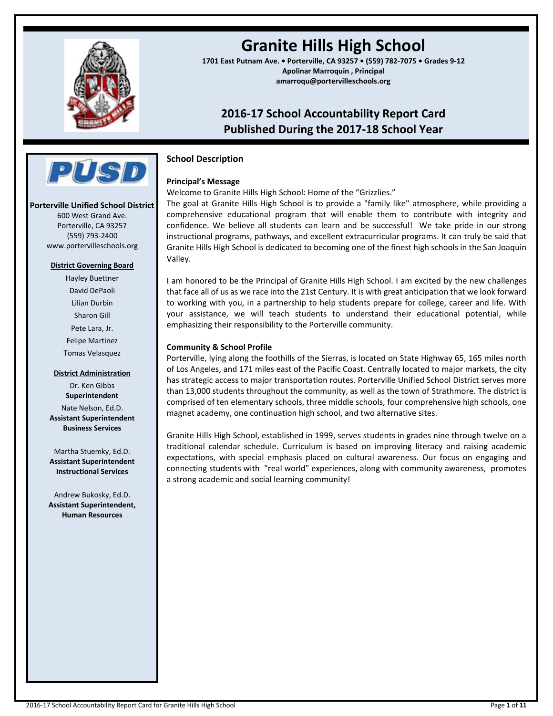

# **Granite Hills High School**

**1701 East Putnam Ave. • Porterville, CA 93257 • (559) 782-7075 • Grades 9-12 Apolinar Marroquin , Principal amarroqu@portervilleschools.org**

## **2016-17 School Accountability Report Card Published During the 2017-18 School Year**



## **Principal's Message**

Welcome to Granite Hills High School: Home of the "Grizzlies."

The goal at Granite Hills High School is to provide a "family like" atmosphere, while providing a comprehensive educational program that will enable them to contribute with integrity and confidence. We believe all students can learn and be successful! We take pride in our strong instructional programs, pathways, and excellent extracurricular programs. It can truly be said that Granite Hills High School is dedicated to becoming one of the finest high schools in the San Joaquin Valley.

I am honored to be the Principal of Granite Hills High School. I am excited by the new challenges that face all of us as we race into the 21st Century. It is with great anticipation that we look forward to working with you, in a partnership to help students prepare for college, career and life. With your assistance, we will teach students to understand their educational potential, while emphasizing their responsibility to the Porterville community.

## **Community & School Profile**

Porterville, lying along the foothills of the Sierras, is located on State Highway 65, 165 miles north of Los Angeles, and 171 miles east of the Pacific Coast. Centrally located to major markets, the city has strategic access to major transportation routes. Porterville Unified School District serves more than 13,000 students throughout the community, as well as the town of Strathmore. The district is comprised of ten elementary schools, three middle schools, four comprehensive high schools, one magnet academy, one continuation high school, and two alternative sites.

Granite Hills High School, established in 1999, serves students in grades nine through twelve on a traditional calendar schedule. Curriculum is based on improving literacy and raising academic expectations, with special emphasis placed on cultural awareness. Our focus on engaging and connecting students with "real world" experiences, along with community awareness, promotes a strong academic and social learning community!



## **Porterville Unified School District**

600 West Grand Ave. Porterville, CA 93257 (559) 793-2400 www.portervilleschools.org

## **District Governing Board**

Hayley Buettner David DePaoli Lilian Durbin Sharon Gill Pete Lara, Jr. Felipe Martinez Tomas Velasquez

## **District Administration**

Dr. Ken Gibbs **Superintendent** Nate Nelson, Ed.D. **Assistant Superintendent Business Services**

Martha Stuemky, Ed.D. **Assistant Superintendent Instructional Services**

Andrew Bukosky, Ed.D. **Assistant Superintendent, Human Resources**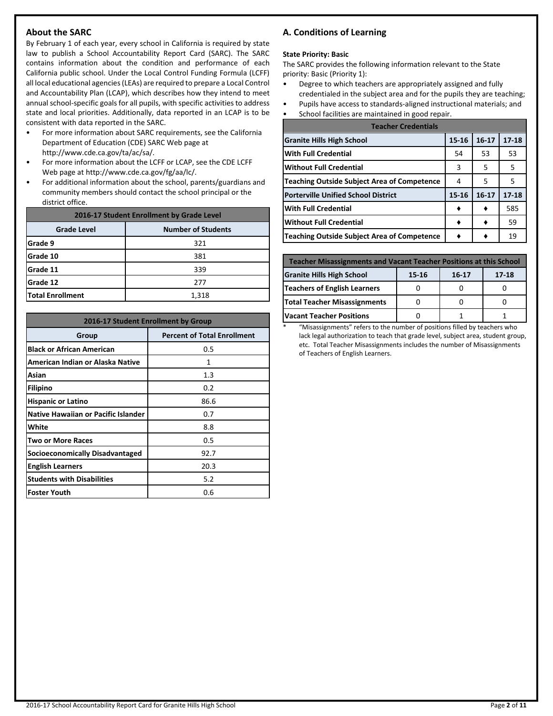## **About the SARC**

By February 1 of each year, every school in California is required by state law to publish a School Accountability Report Card (SARC). The SARC contains information about the condition and performance of each California public school. Under the Local Control Funding Formula (LCFF) all local educational agencies (LEAs) are required to prepare a Local Control and Accountability Plan (LCAP), which describes how they intend to meet annual school-specific goals for all pupils, with specific activities to address state and local priorities. Additionally, data reported in an LCAP is to be consistent with data reported in the SARC.

- For more information about SARC requirements, see the California Department of Education (CDE) SARC Web page at http://www.cde.ca.gov/ta/ac/sa/.
- For more information about the LCFF or LCAP, see the CDE LCFF Web page at http://www.cde.ca.gov/fg/aa/lc/.
- For additional information about the school, parents/guardians and community members should contact the school principal or the district office.

| 2016-17 Student Enrollment by Grade Level       |       |  |  |  |  |
|-------------------------------------------------|-------|--|--|--|--|
| <b>Number of Students</b><br><b>Grade Level</b> |       |  |  |  |  |
| Grade 9                                         | 321   |  |  |  |  |
| Grade 10                                        | 381   |  |  |  |  |
| Grade 11                                        | 339   |  |  |  |  |
| Grade 12                                        | 277   |  |  |  |  |
| <b>Total Enrollment</b>                         | 1,318 |  |  |  |  |

| 2016-17 Student Enrollment by Group |                                    |  |  |  |
|-------------------------------------|------------------------------------|--|--|--|
| Group                               | <b>Percent of Total Enrollment</b> |  |  |  |
| <b>Black or African American</b>    | 0.5                                |  |  |  |
| American Indian or Alaska Native    | 1                                  |  |  |  |
| Asian                               | 1.3                                |  |  |  |
| <b>Filipino</b>                     | 0.2                                |  |  |  |
| <b>Hispanic or Latino</b>           | 86.6                               |  |  |  |
| Native Hawaiian or Pacific Islander | 0.7                                |  |  |  |
| White                               | 8.8                                |  |  |  |
| Two or More Races                   | 0.5                                |  |  |  |
| Socioeconomically Disadvantaged     | 92.7                               |  |  |  |
| <b>English Learners</b>             | 20.3                               |  |  |  |
| <b>Students with Disabilities</b>   | 5.2                                |  |  |  |
| <b>Foster Youth</b>                 | 0.6                                |  |  |  |

## **A. Conditions of Learning**

#### **State Priority: Basic**

The SARC provides the following information relevant to the State priority: Basic (Priority 1):

- Degree to which teachers are appropriately assigned and fully credentialed in the subject area and for the pupils they are teaching;
- Pupils have access to standards-aligned instructional materials; and
- School facilities are maintained in good repair.

| <b>Teacher Credentials</b>                         |           |           |           |  |  |
|----------------------------------------------------|-----------|-----------|-----------|--|--|
| <b>Granite Hills High School</b>                   | $15 - 16$ | $16-17$   | $17 - 18$ |  |  |
| <b>With Full Credential</b>                        | 54        | 53        | 53        |  |  |
| <b>Without Full Credential</b>                     | 3         | 5         | 5         |  |  |
| <b>Teaching Outside Subject Area of Competence</b> | 4         | 5         | 5         |  |  |
| <b>Porterville Unified School District</b>         | $15 - 16$ | $16 - 17$ | $17 - 18$ |  |  |
| <b>With Full Credential</b>                        |           |           | 585       |  |  |
| <b>Without Full Credential</b>                     |           |           | 59        |  |  |
| <b>Teaching Outside Subject Area of Competence</b> |           |           | 19        |  |  |

| <b>Teacher Misassignments and Vacant Teacher Positions at this School</b> |  |  |  |  |  |  |  |
|---------------------------------------------------------------------------|--|--|--|--|--|--|--|
| <b>Granite Hills High School</b><br>17-18<br>15-16<br>$16 - 17$           |  |  |  |  |  |  |  |
| Teachers of English Learners                                              |  |  |  |  |  |  |  |
| <b>Total Teacher Misassignments</b>                                       |  |  |  |  |  |  |  |
| <b>Vacant Teacher Positions</b>                                           |  |  |  |  |  |  |  |

\* "Misassignments" refers to the number of positions filled by teachers who lack legal authorization to teach that grade level, subject area, student group, etc. Total Teacher Misassignments includes the number of Misassignments of Teachers of English Learners.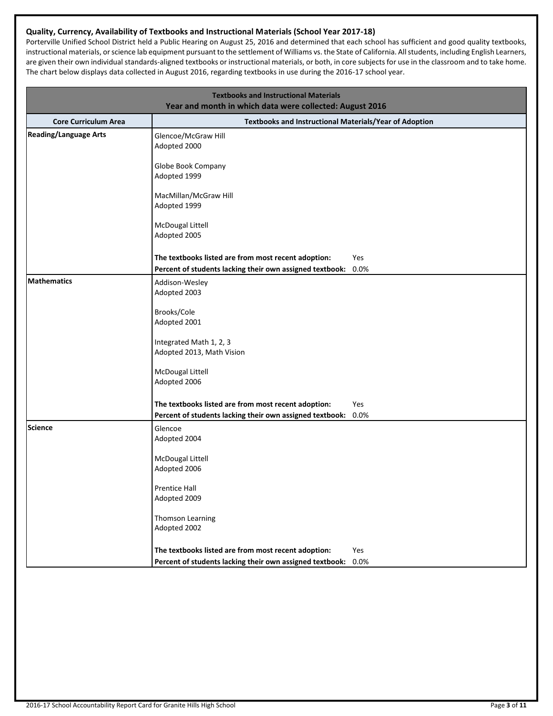## **Quality, Currency, Availability of Textbooks and Instructional Materials (School Year 2017-18)**

Porterville Unified School District held a Public Hearing on August 25, 2016 and determined that each school has sufficient and good quality textbooks, instructional materials, or science lab equipment pursuant to the settlement of Williams vs. the State of California. All students, including English Learners, are given their own individual standards-aligned textbooks or instructional materials, or both, in core subjects for use in the classroom and to take home. The chart below displays data collected in August 2016, regarding textbooks in use during the 2016-17 school year.

| <b>Textbooks and Instructional Materials</b><br>Year and month in which data were collected: August 2016 |                                                          |      |  |  |
|----------------------------------------------------------------------------------------------------------|----------------------------------------------------------|------|--|--|
| <b>Core Curriculum Area</b>                                                                              | Textbooks and Instructional Materials/Year of Adoption   |      |  |  |
| <b>Reading/Language Arts</b>                                                                             | Glencoe/McGraw Hill<br>Adopted 2000                      |      |  |  |
|                                                                                                          | Globe Book Company<br>Adopted 1999                       |      |  |  |
|                                                                                                          | MacMillan/McGraw Hill<br>Adopted 1999                    |      |  |  |
|                                                                                                          | McDougal Littell<br>Adopted 2005                         |      |  |  |
|                                                                                                          | The textbooks listed are from most recent adoption:      | Yes  |  |  |
|                                                                                                          | Percent of students lacking their own assigned textbook: | 0.0% |  |  |
| <b>Mathematics</b>                                                                                       | Addison-Wesley                                           |      |  |  |
|                                                                                                          | Adopted 2003                                             |      |  |  |
|                                                                                                          | Brooks/Cole                                              |      |  |  |
|                                                                                                          | Adopted 2001                                             |      |  |  |
|                                                                                                          |                                                          |      |  |  |
|                                                                                                          | Integrated Math 1, 2, 3<br>Adopted 2013, Math Vision     |      |  |  |
|                                                                                                          |                                                          |      |  |  |
|                                                                                                          | McDougal Littell                                         |      |  |  |
|                                                                                                          | Adopted 2006                                             |      |  |  |
|                                                                                                          | The textbooks listed are from most recent adoption:      | Yes  |  |  |
|                                                                                                          | Percent of students lacking their own assigned textbook: | 0.0% |  |  |
| <b>Science</b>                                                                                           | Glencoe<br>Adopted 2004                                  |      |  |  |
|                                                                                                          | McDougal Littell                                         |      |  |  |
|                                                                                                          | Adopted 2006                                             |      |  |  |
|                                                                                                          | Prentice Hall                                            |      |  |  |
|                                                                                                          | Adopted 2009                                             |      |  |  |
|                                                                                                          |                                                          |      |  |  |
|                                                                                                          | Thomson Learning<br>Adopted 2002                         |      |  |  |
|                                                                                                          |                                                          |      |  |  |
|                                                                                                          | The textbooks listed are from most recent adoption:      | Yes  |  |  |
|                                                                                                          | Percent of students lacking their own assigned textbook: | 0.0% |  |  |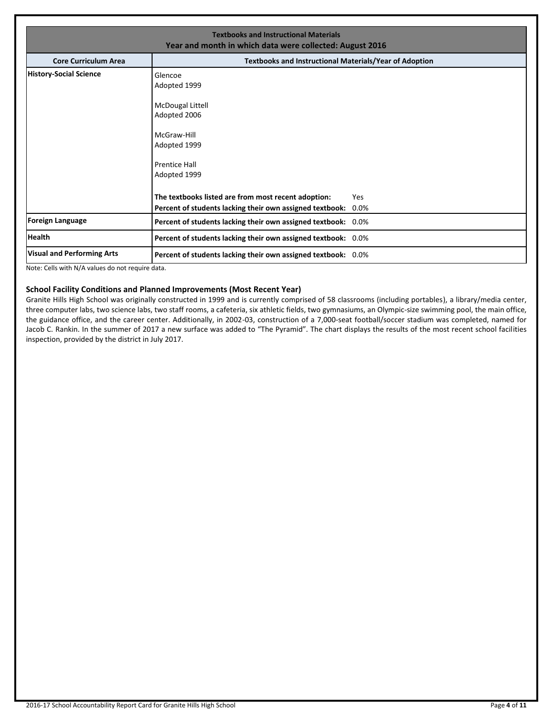| <b>Textbooks and Instructional Materials</b><br>Year and month in which data were collected: August 2016 |                                                                                                                                    |                |  |  |  |
|----------------------------------------------------------------------------------------------------------|------------------------------------------------------------------------------------------------------------------------------------|----------------|--|--|--|
| <b>Core Curriculum Area</b>                                                                              | <b>Textbooks and Instructional Materials/Year of Adoption</b>                                                                      |                |  |  |  |
| <b>History-Social Science</b>                                                                            | Glencoe<br>Adopted 1999<br>McDougal Littell<br>Adopted 2006<br>McGraw-Hill<br>Adopted 1999<br><b>Prentice Hall</b><br>Adopted 1999 |                |  |  |  |
|                                                                                                          | The textbooks listed are from most recent adoption:<br>Percent of students lacking their own assigned textbook:                    | Yes<br>$0.0\%$ |  |  |  |
| <b>Foreign Language</b>                                                                                  | Percent of students lacking their own assigned textbook: 0.0%                                                                      |                |  |  |  |
| <b>Health</b>                                                                                            | Percent of students lacking their own assigned textbook: 0.0%                                                                      |                |  |  |  |
| <b>Visual and Performing Arts</b>                                                                        | Percent of students lacking their own assigned textbook: 0.0%                                                                      |                |  |  |  |

Note: Cells with N/A values do not require data.

## **School Facility Conditions and Planned Improvements (Most Recent Year)**

Granite Hills High School was originally constructed in 1999 and is currently comprised of 58 classrooms (including portables), a library/media center, three computer labs, two science labs, two staff rooms, a cafeteria, six athletic fields, two gymnasiums, an Olympic-size swimming pool, the main office, the guidance office, and the career center. Additionally, in 2002-03, construction of a 7,000-seat football/soccer stadium was completed, named for Jacob C. Rankin. In the summer of 2017 a new surface was added to "The Pyramid". The chart displays the results of the most recent school facilities inspection, provided by the district in July 2017.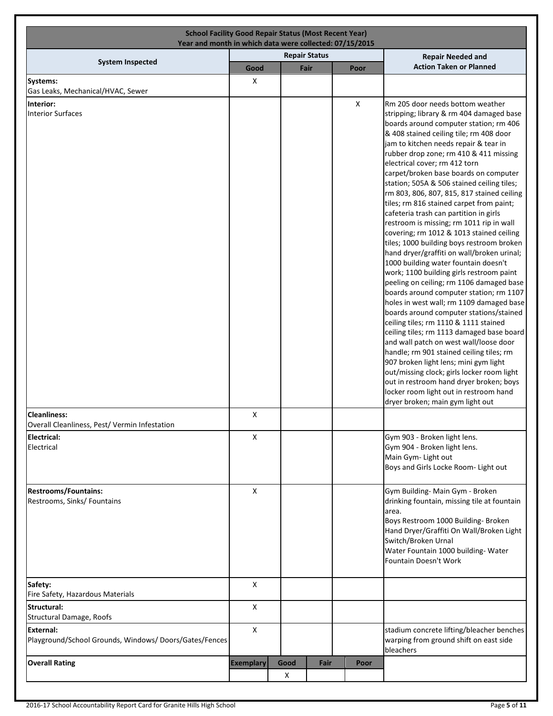|                                                                    | Year and month in which data were collected: 07/15/2015 | <b>School Facility Good Repair Status (Most Recent Year)</b> |                      |                |                                                                                                                                                                                                                                                                                                                                                                                                                                                                                                                                                                                                                                                                                                                                                                                                                                                                                                                                                                                                                                                                                                                                                                                                                                                                                                                               |
|--------------------------------------------------------------------|---------------------------------------------------------|--------------------------------------------------------------|----------------------|----------------|-------------------------------------------------------------------------------------------------------------------------------------------------------------------------------------------------------------------------------------------------------------------------------------------------------------------------------------------------------------------------------------------------------------------------------------------------------------------------------------------------------------------------------------------------------------------------------------------------------------------------------------------------------------------------------------------------------------------------------------------------------------------------------------------------------------------------------------------------------------------------------------------------------------------------------------------------------------------------------------------------------------------------------------------------------------------------------------------------------------------------------------------------------------------------------------------------------------------------------------------------------------------------------------------------------------------------------|
| <b>System Inspected</b>                                            |                                                         |                                                              | <b>Repair Status</b> |                | <b>Repair Needed and</b>                                                                                                                                                                                                                                                                                                                                                                                                                                                                                                                                                                                                                                                                                                                                                                                                                                                                                                                                                                                                                                                                                                                                                                                                                                                                                                      |
|                                                                    | Good                                                    |                                                              | Fair                 | Poor           | <b>Action Taken or Planned</b>                                                                                                                                                                                                                                                                                                                                                                                                                                                                                                                                                                                                                                                                                                                                                                                                                                                                                                                                                                                                                                                                                                                                                                                                                                                                                                |
| <b>Systems:</b><br>Gas Leaks, Mechanical/HVAC, Sewer               | X                                                       |                                                              |                      |                |                                                                                                                                                                                                                                                                                                                                                                                                                                                                                                                                                                                                                                                                                                                                                                                                                                                                                                                                                                                                                                                                                                                                                                                                                                                                                                                               |
| Interior:                                                          |                                                         |                                                              |                      | $\pmb{\times}$ | Rm 205 door needs bottom weather                                                                                                                                                                                                                                                                                                                                                                                                                                                                                                                                                                                                                                                                                                                                                                                                                                                                                                                                                                                                                                                                                                                                                                                                                                                                                              |
| <b>Interior Surfaces</b><br><b>Cleanliness:</b>                    | X                                                       |                                                              |                      |                | stripping; library & rm 404 damaged base<br>boards around computer station; rm 406<br>& 408 stained ceiling tile; rm 408 door<br>jam to kitchen needs repair & tear in<br>rubber drop zone; rm 410 & 411 missing<br>electrical cover; rm 412 torn<br>carpet/broken base boards on computer<br>station; 505A & 506 stained ceiling tiles;<br>rm 803, 806, 807, 815, 817 stained ceiling<br>tiles; rm 816 stained carpet from paint;<br>cafeteria trash can partition in girls<br>restroom is missing; rm 1011 rip in wall<br>covering; rm 1012 & 1013 stained ceiling<br>tiles; 1000 building boys restroom broken<br>hand dryer/graffiti on wall/broken urinal;<br>1000 building water fountain doesn't<br>work; 1100 building girls restroom paint<br>peeling on ceiling; rm 1106 damaged base<br>boards around computer station; rm 1107<br>holes in west wall; rm 1109 damaged base<br>boards around computer stations/stained<br>ceiling tiles; rm 1110 & 1111 stained<br>ceiling tiles; rm 1113 damaged base board<br>and wall patch on west wall/loose door<br>handle; rm 901 stained ceiling tiles; rm<br>907 broken light lens; mini gym light<br>out/missing clock; girls locker room light<br>out in restroom hand dryer broken; boys<br>locker room light out in restroom hand<br>dryer broken; main gym light out |
| Overall Cleanliness, Pest/ Vermin Infestation                      |                                                         |                                                              |                      |                |                                                                                                                                                                                                                                                                                                                                                                                                                                                                                                                                                                                                                                                                                                                                                                                                                                                                                                                                                                                                                                                                                                                                                                                                                                                                                                                               |
| Electrical:<br>Electrical                                          | X                                                       |                                                              |                      |                | Gym 903 - Broken light lens.<br>Gym 904 - Broken light lens.<br>Main Gym- Light out<br>Boys and Girls Locke Room- Light out                                                                                                                                                                                                                                                                                                                                                                                                                                                                                                                                                                                                                                                                                                                                                                                                                                                                                                                                                                                                                                                                                                                                                                                                   |
| <b>Restrooms/Fountains:</b><br>Restrooms, Sinks/ Fountains         | X                                                       |                                                              |                      |                | Gym Building- Main Gym - Broken<br>drinking fountain, missing tile at fountain<br>area.<br>Boys Restroom 1000 Building- Broken<br>Hand Dryer/Graffiti On Wall/Broken Light<br>Switch/Broken Urnal                                                                                                                                                                                                                                                                                                                                                                                                                                                                                                                                                                                                                                                                                                                                                                                                                                                                                                                                                                                                                                                                                                                             |
|                                                                    |                                                         |                                                              |                      |                | Water Fountain 1000 building- Water<br>Fountain Doesn't Work                                                                                                                                                                                                                                                                                                                                                                                                                                                                                                                                                                                                                                                                                                                                                                                                                                                                                                                                                                                                                                                                                                                                                                                                                                                                  |
| Safety:<br>Fire Safety, Hazardous Materials                        | X                                                       |                                                              |                      |                |                                                                                                                                                                                                                                                                                                                                                                                                                                                                                                                                                                                                                                                                                                                                                                                                                                                                                                                                                                                                                                                                                                                                                                                                                                                                                                                               |
| Structural:                                                        | X                                                       |                                                              |                      |                |                                                                                                                                                                                                                                                                                                                                                                                                                                                                                                                                                                                                                                                                                                                                                                                                                                                                                                                                                                                                                                                                                                                                                                                                                                                                                                                               |
| Structural Damage, Roofs                                           |                                                         |                                                              |                      |                |                                                                                                                                                                                                                                                                                                                                                                                                                                                                                                                                                                                                                                                                                                                                                                                                                                                                                                                                                                                                                                                                                                                                                                                                                                                                                                                               |
| External:<br>Playground/School Grounds, Windows/Doors/Gates/Fences | X                                                       |                                                              |                      |                | stadium concrete lifting/bleacher benches<br>warping from ground shift on east side<br>bleachers                                                                                                                                                                                                                                                                                                                                                                                                                                                                                                                                                                                                                                                                                                                                                                                                                                                                                                                                                                                                                                                                                                                                                                                                                              |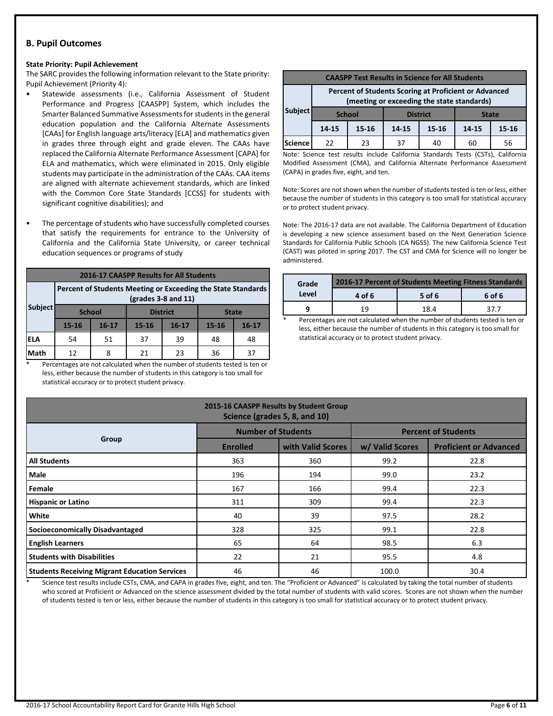## **B. Pupil Outcomes**

#### **State Priority: Pupil Achievement**

The SARC provides the following information relevant to the State priority: Pupil Achievement (Priority 4):

- Statewide assessments (i.e., California Assessment of Student Performance and Progress [CAASPP] System, which includes the Smarter Balanced Summative Assessments for students in the general education population and the California Alternate Assessments [CAAs] for English language arts/literacy [ELA] and mathematics given in grades three through eight and grade eleven. The CAAs have replaced the California Alternate Performance Assessment [CAPA] for ELA and mathematics, which were eliminated in 2015. Only eligible students may participate in the administration of the CAAs. CAA items are aligned with alternate achievement standards, which are linked with the Common Core State Standards [CCSS] for students with significant cognitive disabilities); and
- The percentage of students who have successfully completed courses that satisfy the requirements for entrance to the University of California and the California State University, or career technical education sequences or programs of study

| <b>2016-17 CAASPP Results for All Students</b> |                                                                                       |               |           |                 |              |           |  |
|------------------------------------------------|---------------------------------------------------------------------------------------|---------------|-----------|-----------------|--------------|-----------|--|
|                                                | Percent of Students Meeting or Exceeding the State Standards<br>$(grades 3-8 and 11)$ |               |           |                 |              |           |  |
| <b>Subject</b>                                 |                                                                                       | <b>School</b> |           | <b>District</b> | <b>State</b> |           |  |
|                                                | $15 - 16$                                                                             | $16 - 17$     | $15 - 16$ | $16 - 17$       | $15 - 16$    | $16 - 17$ |  |
| IELA                                           | 54                                                                                    | 51            | 37        | 39              | 48           | 48        |  |
| Math                                           | 12                                                                                    | 8             | 21        | 23              | 36           | 37        |  |

Percentages are not calculated when the number of students tested is ten or less, either because the number of students in this category is too small for statistical accuracy or to protect student privacy.

| <b>CAASPP Test Results in Science for All Students</b> |                                                                                                     |           |       |           |       |       |  |
|--------------------------------------------------------|-----------------------------------------------------------------------------------------------------|-----------|-------|-----------|-------|-------|--|
|                                                        | Percent of Students Scoring at Proficient or Advanced<br>(meeting or exceeding the state standards) |           |       |           |       |       |  |
| <b>Subject</b>                                         | <b>District</b><br><b>School</b><br><b>State</b>                                                    |           |       |           |       |       |  |
|                                                        | 14-15                                                                                               | $15 - 16$ | 14-15 | $15 - 16$ | 14-15 | 15-16 |  |
| Science                                                | 22                                                                                                  | 23        | 37    | 40        | 60    | 56    |  |

Note: Science test results include California Standards Tests (CSTs), California Modified Assessment (CMA), and California Alternate Performance Assessment (CAPA) in grades five, eight, and ten.

Note: Scores are not shown when the number of students tested is ten or less, either because the number of students in this category is too small for statistical accuracy or to protect student privacy.

Note: The 2016-17 data are not available. The California Department of Education is developing a new science assessment based on the Next Generation Science Standards for California Public Schools (CA NGSS). The new California Science Test (CAST) was piloted in spring 2017. The CST and CMA for Science will no longer be administered.

| Grade | 2016-17 Percent of Students Meeting Fitness Standards |        |        |  |  |
|-------|-------------------------------------------------------|--------|--------|--|--|
| Level | 4 of 6                                                | 5 of 6 | 6 of 6 |  |  |
|       | 19                                                    | 18.4   |        |  |  |

Percentages are not calculated when the number of students tested is ten or less, either because the number of students in this category is too small for statistical accuracy or to protect student privacy.

| 2015-16 CAASPP Results by Student Group<br>Science (grades 5, 8, and 10) |                           |                   |                            |                               |  |  |  |  |
|--------------------------------------------------------------------------|---------------------------|-------------------|----------------------------|-------------------------------|--|--|--|--|
|                                                                          | <b>Number of Students</b> |                   | <b>Percent of Students</b> |                               |  |  |  |  |
| Group                                                                    | <b>Enrolled</b>           | with Valid Scores | w/ Valid Scores            | <b>Proficient or Advanced</b> |  |  |  |  |
| <b>All Students</b>                                                      | 363                       | 360               | 99.2                       | 22.8                          |  |  |  |  |
| Male                                                                     | 196                       | 194               | 99.0                       | 23.2                          |  |  |  |  |
| Female                                                                   | 167                       | 166               | 99.4                       | 22.3                          |  |  |  |  |
| <b>Hispanic or Latino</b>                                                | 311                       | 309               | 99.4                       | 22.3                          |  |  |  |  |
| White                                                                    | 40                        | 39                | 97.5                       | 28.2                          |  |  |  |  |
| Socioeconomically Disadvantaged                                          | 328                       | 325               | 99.1                       | 22.8                          |  |  |  |  |
| <b>English Learners</b>                                                  | 65                        | 64                | 98.5                       | 6.3                           |  |  |  |  |
| <b>Students with Disabilities</b>                                        | 22                        | 21                | 95.5                       | 4.8                           |  |  |  |  |
| <b>Students Receiving Migrant Education Services</b>                     | 46                        | 46                | 100.0                      | 30.4                          |  |  |  |  |

Science test results include CSTs, CMA, and CAPA in grades five, eight, and ten. The "Proficient or Advanced" is calculated by taking the total number of students who scored at Proficient or Advanced on the science assessment divided by the total number of students with valid scores. Scores are not shown when the number of students tested is ten or less, either because the number of students in this category is too small for statistical accuracy or to protect student privacy.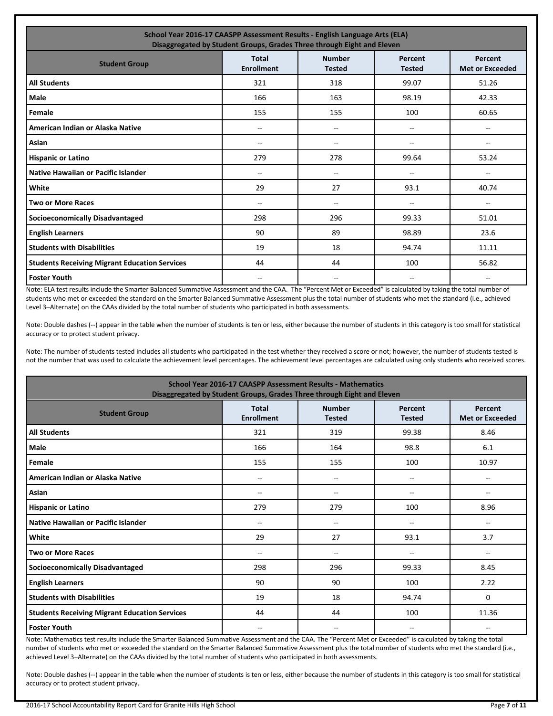| School Year 2016-17 CAASPP Assessment Results - English Language Arts (ELA)<br>Disaggregated by Student Groups, Grades Three through Eight and Eleven        |       |     |               |                |  |  |  |  |  |
|--------------------------------------------------------------------------------------------------------------------------------------------------------------|-------|-----|---------------|----------------|--|--|--|--|--|
| <b>Number</b><br><b>Total</b><br>Percent<br>Percent<br><b>Student Group</b><br><b>Enrollment</b><br><b>Tested</b><br><b>Tested</b><br><b>Met or Exceeded</b> |       |     |               |                |  |  |  |  |  |
| <b>All Students</b>                                                                                                                                          | 321   | 318 | 99.07         | 51.26          |  |  |  |  |  |
| Male                                                                                                                                                         | 166   | 163 | 98.19         | 42.33          |  |  |  |  |  |
| Female                                                                                                                                                       | 155   | 155 | 100           | 60.65          |  |  |  |  |  |
| American Indian or Alaska Native                                                                                                                             | $-$   | --  | $\frac{1}{2}$ | $\overline{a}$ |  |  |  |  |  |
| Asian                                                                                                                                                        | --    | --  | --            | --             |  |  |  |  |  |
| <b>Hispanic or Latino</b>                                                                                                                                    | 279   | 278 | 99.64         | 53.24          |  |  |  |  |  |
| Native Hawaiian or Pacific Islander                                                                                                                          | --    | --  | -−            | --             |  |  |  |  |  |
| White                                                                                                                                                        | 29    | 27  | 93.1          | 40.74          |  |  |  |  |  |
| <b>Two or More Races</b>                                                                                                                                     | $- -$ | --  | --            | $-$            |  |  |  |  |  |
| <b>Socioeconomically Disadvantaged</b>                                                                                                                       | 298   | 296 | 99.33         | 51.01          |  |  |  |  |  |
| <b>English Learners</b>                                                                                                                                      | 90    | 89  | 98.89         | 23.6           |  |  |  |  |  |
| <b>Students with Disabilities</b>                                                                                                                            | 19    | 18  | 94.74         | 11.11          |  |  |  |  |  |
| <b>Students Receiving Migrant Education Services</b>                                                                                                         | 44    | 44  | 100           | 56.82          |  |  |  |  |  |
| <b>Foster Youth</b>                                                                                                                                          |       | --  | $- -$         | --             |  |  |  |  |  |

Note: ELA test results include the Smarter Balanced Summative Assessment and the CAA. The "Percent Met or Exceeded" is calculated by taking the total number of students who met or exceeded the standard on the Smarter Balanced Summative Assessment plus the total number of students who met the standard (i.e., achieved Level 3–Alternate) on the CAAs divided by the total number of students who participated in both assessments.

Note: Double dashes (--) appear in the table when the number of students is ten or less, either because the number of students in this category is too small for statistical accuracy or to protect student privacy.

Note: The number of students tested includes all students who participated in the test whether they received a score or not; however, the number of students tested is not the number that was used to calculate the achievement level percentages. The achievement level percentages are calculated using only students who received scores.

| <b>School Year 2016-17 CAASPP Assessment Results - Mathematics</b><br>Disaggregated by Student Groups, Grades Three through Eight and Eleven |                                   |                                |                          |                                   |  |  |
|----------------------------------------------------------------------------------------------------------------------------------------------|-----------------------------------|--------------------------------|--------------------------|-----------------------------------|--|--|
| <b>Student Group</b>                                                                                                                         | <b>Total</b><br><b>Enrollment</b> | <b>Number</b><br><b>Tested</b> | Percent<br><b>Tested</b> | Percent<br><b>Met or Exceeded</b> |  |  |
| <b>All Students</b>                                                                                                                          | 321                               | 319                            | 99.38                    | 8.46                              |  |  |
| <b>Male</b>                                                                                                                                  | 166                               | 164                            | 98.8                     | 6.1                               |  |  |
| Female                                                                                                                                       | 155                               | 155                            | 100                      | 10.97                             |  |  |
| American Indian or Alaska Native                                                                                                             | $- -$                             | $-$                            | $\overline{\phantom{a}}$ |                                   |  |  |
| Asian                                                                                                                                        | $- -$                             | --                             | --                       |                                   |  |  |
| <b>Hispanic or Latino</b>                                                                                                                    | 279                               | 279                            | 100                      | 8.96                              |  |  |
| <b>Native Hawaiian or Pacific Islander</b>                                                                                                   | --                                | $\overline{\phantom{a}}$       | $\overline{\phantom{a}}$ | $- -$                             |  |  |
| White                                                                                                                                        | 29                                | 27                             | 93.1                     | 3.7                               |  |  |
| <b>Two or More Races</b>                                                                                                                     | --                                | --                             | --                       | --                                |  |  |
| <b>Socioeconomically Disadvantaged</b>                                                                                                       | 298                               | 296                            | 99.33                    | 8.45                              |  |  |
| <b>English Learners</b>                                                                                                                      | 90                                | 90                             | 100                      | 2.22                              |  |  |
| <b>Students with Disabilities</b>                                                                                                            | 19                                | 18                             | 94.74                    | 0                                 |  |  |
| <b>Students Receiving Migrant Education Services</b>                                                                                         | 44                                | 44                             | 100                      | 11.36                             |  |  |
| <b>Foster Youth</b>                                                                                                                          | --                                | --                             | --                       | --                                |  |  |

Note: Mathematics test results include the Smarter Balanced Summative Assessment and the CAA. The "Percent Met or Exceeded" is calculated by taking the total number of students who met or exceeded the standard on the Smarter Balanced Summative Assessment plus the total number of students who met the standard (i.e., achieved Level 3–Alternate) on the CAAs divided by the total number of students who participated in both assessments.

Note: Double dashes (--) appear in the table when the number of students is ten or less, either because the number of students in this category is too small for statistical accuracy or to protect student privacy.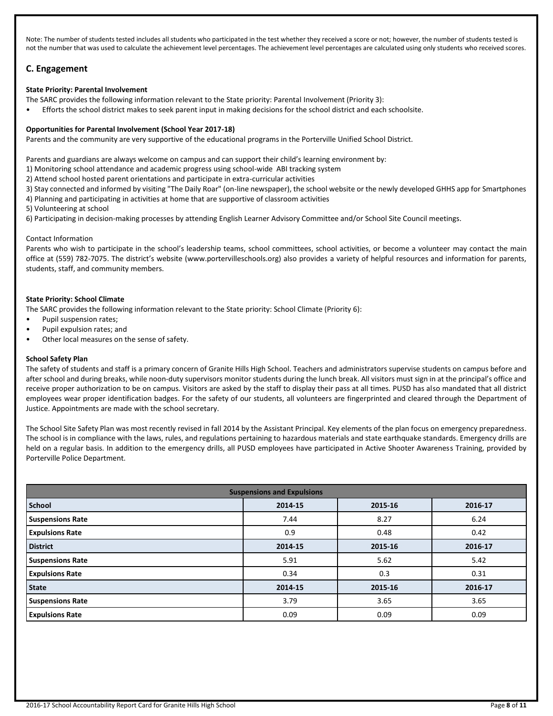Note: The number of students tested includes all students who participated in the test whether they received a score or not; however, the number of students tested is not the number that was used to calculate the achievement level percentages. The achievement level percentages are calculated using only students who received scores.

## **C. Engagement**

## **State Priority: Parental Involvement**

- The SARC provides the following information relevant to the State priority: Parental Involvement (Priority 3):
- Efforts the school district makes to seek parent input in making decisions for the school district and each schoolsite.

## **Opportunities for Parental Involvement (School Year 2017-18)**

Parents and the community are very supportive of the educational programs in the Porterville Unified School District.

Parents and guardians are always welcome on campus and can support their child's learning environment by:

- 1) Monitoring school attendance and academic progress using school-wide ABI tracking system
- 2) Attend school hosted parent orientations and participate in extra-curricular activities
- 3) Stay connected and informed by visiting "The Daily Roar" (on-line newspaper), the school website or the newly developed GHHS app for Smartphones
- 4) Planning and participating in activities at home that are supportive of classroom activities
- 5) Volunteering at school
- 6) Participating in decision-making processes by attending English Learner Advisory Committee and/or School Site Council meetings.

## Contact Information

Parents who wish to participate in the school's leadership teams, school committees, school activities, or become a volunteer may contact the main office at (559) 782-7075. The district's website (www.portervilleschools.org) also provides a variety of helpful resources and information for parents, students, staff, and community members.

## **State Priority: School Climate**

The SARC provides the following information relevant to the State priority: School Climate (Priority 6):

- Pupil suspension rates;
- Pupil expulsion rates; and
- Other local measures on the sense of safety.

## **School Safety Plan**

The safety of students and staff is a primary concern of Granite Hills High School. Teachers and administrators supervise students on campus before and after school and during breaks, while noon-duty supervisors monitor students during the lunch break. All visitors must sign in at the principal's office and receive proper authorization to be on campus. Visitors are asked by the staff to display their pass at all times. PUSD has also mandated that all district employees wear proper identification badges. For the safety of our students, all volunteers are fingerprinted and cleared through the Department of Justice. Appointments are made with the school secretary.

The School Site Safety Plan was most recently revised in fall 2014 by the Assistant Principal. Key elements of the plan focus on emergency preparedness. The school is in compliance with the laws, rules, and regulations pertaining to hazardous materials and state earthquake standards. Emergency drills are held on a regular basis. In addition to the emergency drills, all PUSD employees have participated in Active Shooter Awareness Training, provided by Porterville Police Department.

| <b>Suspensions and Expulsions</b> |         |         |         |  |  |  |
|-----------------------------------|---------|---------|---------|--|--|--|
| <b>School</b>                     | 2014-15 | 2015-16 | 2016-17 |  |  |  |
| <b>Suspensions Rate</b>           | 7.44    | 8.27    | 6.24    |  |  |  |
| <b>Expulsions Rate</b>            | 0.9     | 0.48    | 0.42    |  |  |  |
| <b>District</b>                   | 2014-15 | 2015-16 | 2016-17 |  |  |  |
| <b>Suspensions Rate</b>           | 5.91    | 5.62    | 5.42    |  |  |  |
| <b>Expulsions Rate</b>            | 0.34    | 0.3     | 0.31    |  |  |  |
| <b>State</b>                      | 2014-15 | 2015-16 | 2016-17 |  |  |  |
| <b>Suspensions Rate</b>           | 3.79    | 3.65    | 3.65    |  |  |  |
| <b>Expulsions Rate</b>            | 0.09    | 0.09    | 0.09    |  |  |  |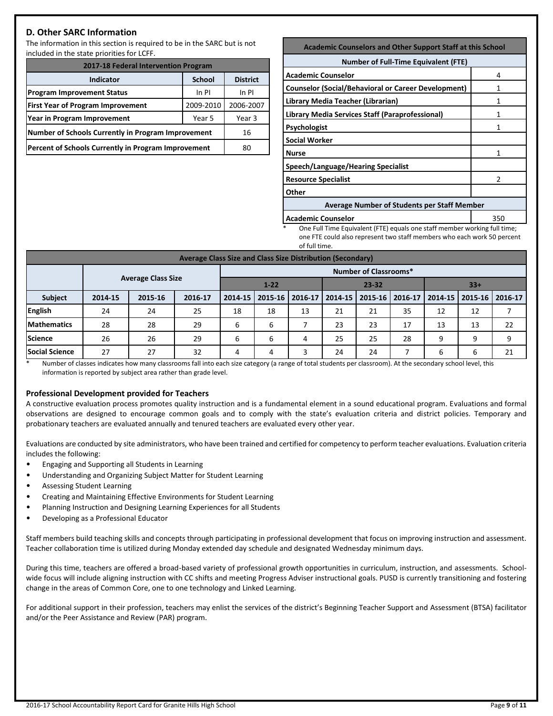## **D. Other SARC Information**

The information in this section is required to be in the SARC but is not included in the state priorities for LCFF.

| 2017-18 Federal Intervention Program                |                 |           |  |  |  |
|-----------------------------------------------------|-----------------|-----------|--|--|--|
| <b>Indicator</b>                                    | <b>District</b> |           |  |  |  |
| <b>Program Improvement Status</b>                   | In PI           |           |  |  |  |
| <b>First Year of Program Improvement</b>            | 2009-2010       | 2006-2007 |  |  |  |
| Year in Program Improvement                         | Year 3          |           |  |  |  |
| Number of Schools Currently in Program Improvement  | 16              |           |  |  |  |
| Percent of Schools Currently in Program Improvement | 80              |           |  |  |  |

#### **Academic Counselors and Other Support Staff at this School**

| <b>Number of Full-Time Equivalent (FTE)</b>        |  |  |  |  |  |
|----------------------------------------------------|--|--|--|--|--|
| 4                                                  |  |  |  |  |  |
|                                                    |  |  |  |  |  |
|                                                    |  |  |  |  |  |
|                                                    |  |  |  |  |  |
|                                                    |  |  |  |  |  |
|                                                    |  |  |  |  |  |
|                                                    |  |  |  |  |  |
|                                                    |  |  |  |  |  |
|                                                    |  |  |  |  |  |
|                                                    |  |  |  |  |  |
| <b>Average Number of Students per Staff Member</b> |  |  |  |  |  |
|                                                    |  |  |  |  |  |

**Academic Counselor Counselor Counselor Counselor Counselor Counselor Counselor Counselor Counselor** 

One Full Time Equivalent (FTE) equals one staff member working full time; one FTE could also represent two staff members who each work 50 percent of full time.

| Average Class Size and Class Size Distribution (Secondary) |                              |                           |         |                                |         |         |         |         |         |         |         |         |
|------------------------------------------------------------|------------------------------|---------------------------|---------|--------------------------------|---------|---------|---------|---------|---------|---------|---------|---------|
|                                                            | <b>Number of Classrooms*</b> |                           |         |                                |         |         |         |         |         |         |         |         |
|                                                            |                              | <b>Average Class Size</b> |         | $1 - 22$<br>$23 - 32$<br>$33+$ |         |         |         |         |         |         |         |         |
| Subject                                                    | 2014-15                      | 2015-16                   | 2016-17 | 2014-15                        | 2015-16 | 2016-17 | 2014-15 | 2015-16 | 2016-17 | 2014-15 | 2015-16 | 2016-17 |
| English                                                    | 24                           | 24                        | 25      | 18                             | 18      | 13      | 21      | 21      | 35      | 12      | 12      |         |
| <b>Mathematics</b>                                         | 28                           | 28                        | 29      | 6                              | 6       |         | 23      | 23      | 17      | 13      | 13      | 22      |
| <b>Science</b>                                             | 26                           | 26                        | 29      | 6                              | 6       | 4       | 25      | 25      | 28      | 9       | 9       | 9       |
| <b>Social Science</b>                                      | 27                           | 27                        | 32      | 4                              | 4       | 3       | 24      | 24      |         | 6       | 6       | 21      |

\* Number of classes indicates how many classrooms fall into each size category (a range of total students per classroom). At the secondary school level, this information is reported by subject area rather than grade level.

## **Professional Development provided for Teachers**

A constructive evaluation process promotes quality instruction and is a fundamental element in a sound educational program. Evaluations and formal observations are designed to encourage common goals and to comply with the state's evaluation criteria and district policies. Temporary and probationary teachers are evaluated annually and tenured teachers are evaluated every other year.

Evaluations are conducted by site administrators, who have been trained and certified for competency to perform teacher evaluations. Evaluation criteria includes the following:

- Engaging and Supporting all Students in Learning
- Understanding and Organizing Subject Matter for Student Learning
- Assessing Student Learning
- Creating and Maintaining Effective Environments for Student Learning
- Planning Instruction and Designing Learning Experiences for all Students
- Developing as a Professional Educator

Staff members build teaching skills and concepts through participating in professional development that focus on improving instruction and assessment. Teacher collaboration time is utilized during Monday extended day schedule and designated Wednesday minimum days.

During this time, teachers are offered a broad-based variety of professional growth opportunities in curriculum, instruction, and assessments. Schoolwide focus will include aligning instruction with CC shifts and meeting Progress Adviser instructional goals. PUSD is currently transitioning and fostering change in the areas of Common Core, one to one technology and Linked Learning.

For additional support in their profession, teachers may enlist the services of the district's Beginning Teacher Support and Assessment (BTSA) facilitator and/or the Peer Assistance and Review (PAR) program.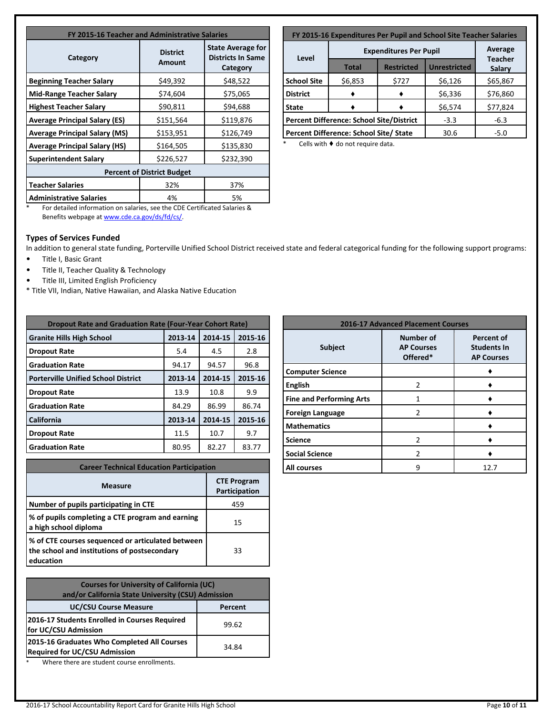| FY 2015-16 Teacher and Administrative Salaries |                           |                                                                  |  |  |  |
|------------------------------------------------|---------------------------|------------------------------------------------------------------|--|--|--|
| Category                                       | <b>District</b><br>Amount | <b>State Average for</b><br><b>Districts In Same</b><br>Category |  |  |  |
| <b>Beginning Teacher Salary</b>                | \$49,392                  | \$48,522                                                         |  |  |  |
| Mid-Range Teacher Salary                       | \$74,604                  | \$75,065                                                         |  |  |  |
| <b>Highest Teacher Salary</b>                  | \$90,811                  | \$94,688                                                         |  |  |  |
| <b>Average Principal Salary (ES)</b>           | \$151,564                 | \$119,876                                                        |  |  |  |
| <b>Average Principal Salary (MS)</b>           | \$153,951                 | \$126,749                                                        |  |  |  |
| <b>Average Principal Salary (HS)</b>           | \$164,505                 | \$135,830                                                        |  |  |  |
| <b>Superintendent Salary</b>                   | \$226,527                 | \$232,390                                                        |  |  |  |
| <b>Percent of District Budget</b>              |                           |                                                                  |  |  |  |
| <b>Teacher Salaries</b>                        | 32%                       | 37%                                                              |  |  |  |
| <b>Administrative Salaries</b>                 | 4%                        | 5%                                                               |  |  |  |

| FY 2015-16 Expenditures Per Pupil and School Site Teacher Salaries |                                                 |                     |                          |          |  |  |
|--------------------------------------------------------------------|-------------------------------------------------|---------------------|--------------------------|----------|--|--|
|                                                                    | Average                                         |                     |                          |          |  |  |
| Level                                                              | <b>Total</b>                                    | <b>Unrestricted</b> | <b>Teacher</b><br>Salary |          |  |  |
| <b>School Site</b>                                                 | \$6,853                                         | \$727               | \$6,126                  | \$65,867 |  |  |
| <b>District</b>                                                    |                                                 |                     | \$6,336                  | \$76,860 |  |  |
| <b>State</b>                                                       |                                                 |                     | \$6,574                  | \$77,824 |  |  |
|                                                                    | <b>Percent Difference: School Site/District</b> | $-3.3$              | $-6.3$                   |          |  |  |
|                                                                    | Percent Difference: School Site/ State          | 30.6                | $-5.0$                   |          |  |  |

Cells with  $\blacklozenge$  do not require data.

\* For detailed information on salaries, see the CDE Certificated Salaries & Benefits webpage a[t www.cde.ca.gov/ds/fd/cs/.](http://www.cde.ca.gov/ds/fd/cs/)

## **Types of Services Funded**

In addition to general state funding, Porterville Unified School District received state and federal categorical funding for the following support programs:

- Title I, Basic Grant
- Title II, Teacher Quality & Technology
- Title III, Limited English Proficiency
- \* Title VII, Indian, Native Hawaiian, and Alaska Native Education

| <b>Dropout Rate and Graduation Rate (Four-Year Cohort Rate)</b> |         |         |         |  |  |  |
|-----------------------------------------------------------------|---------|---------|---------|--|--|--|
| <b>Granite Hills High School</b>                                | 2013-14 | 2014-15 | 2015-16 |  |  |  |
| <b>Dropout Rate</b>                                             | 5.4     | 4.5     | 2.8     |  |  |  |
| <b>Graduation Rate</b>                                          | 94.17   | 94.57   | 96.8    |  |  |  |
| <b>Porterville Unified School District</b>                      | 2013-14 | 2014-15 | 2015-16 |  |  |  |
| <b>Dropout Rate</b>                                             | 13.9    | 10.8    | 9.9     |  |  |  |
| <b>Graduation Rate</b>                                          | 84.29   | 86.99   | 86.74   |  |  |  |
| California                                                      | 2013-14 | 2014-15 | 2015-16 |  |  |  |
| <b>Dropout Rate</b>                                             | 11.5    | 10.7    | 9.7     |  |  |  |
| <b>Graduation Rate</b>                                          | 80.95   | 82.27   | 83.77   |  |  |  |

| <b>Career Technical Education Participation</b>                                                                |                                     |  |  |  |
|----------------------------------------------------------------------------------------------------------------|-------------------------------------|--|--|--|
| <b>Measure</b>                                                                                                 | <b>CTE Program</b><br>Participation |  |  |  |
| Number of pupils participating in CTE                                                                          | 459                                 |  |  |  |
| % of pupils completing a CTE program and earning<br>a high school diploma                                      | 15                                  |  |  |  |
| % of CTE courses sequenced or articulated between<br>the school and institutions of postsecondary<br>education | 33                                  |  |  |  |

| <b>Courses for University of California (UC)</b><br>and/or California State University (CSU) Admission |       |  |  |  |
|--------------------------------------------------------------------------------------------------------|-------|--|--|--|
| <b>UC/CSU Course Measure</b><br>Percent                                                                |       |  |  |  |
| 2016-17 Students Enrolled in Courses Required<br>for UC/CSU Admission                                  | 99.62 |  |  |  |
| 2015-16 Graduates Who Completed All Courses<br><b>Required for UC/CSU Admission</b>                    | 34.84 |  |  |  |

Where there are student course enrollments.

| <b>2016-17 Advanced Placement Courses</b> |                                                                                                                   |      |  |  |  |
|-------------------------------------------|-------------------------------------------------------------------------------------------------------------------|------|--|--|--|
| <b>Subject</b>                            | <b>Number of</b><br><b>Percent of</b><br><b>Students In</b><br><b>AP Courses</b><br>Offered*<br><b>AP Courses</b> |      |  |  |  |
| <b>Computer Science</b>                   |                                                                                                                   |      |  |  |  |
| <b>English</b>                            | $\mathfrak{p}$                                                                                                    |      |  |  |  |
| <b>Fine and Performing Arts</b>           |                                                                                                                   |      |  |  |  |
| <b>Foreign Language</b>                   | 2                                                                                                                 |      |  |  |  |
| <b>Mathematics</b>                        |                                                                                                                   |      |  |  |  |
| <b>Science</b>                            | 2                                                                                                                 |      |  |  |  |
| <b>Social Science</b>                     | 2                                                                                                                 |      |  |  |  |
| All courses                               |                                                                                                                   | 12.7 |  |  |  |